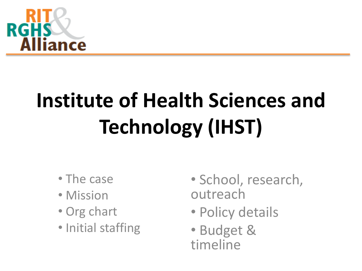

# **Institute of Health Sciences and Technology (IHST)**

- The case
- Mission
- Org chart
- Initial staffing
- School, research, outreach
- Policy details
- Budget & timeline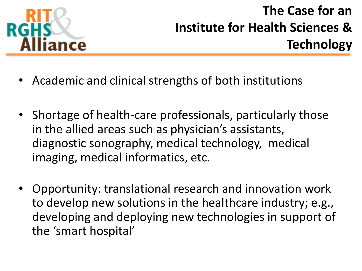

#### **The Case for an Institute for Health Sciences & Technology**

- Academic and clinical strengths of both institutions
- Shortage of health-care professionals, particularly those in the allied areas such as physician's assistants, diagnostic sonography, medical technology, medical imaging, medical informatics, etc.
- Opportunity: translational research and innovation work to develop new solutions in the healthcare industry; e.g., developing and deploying new technologies in support of the 'smart hospital'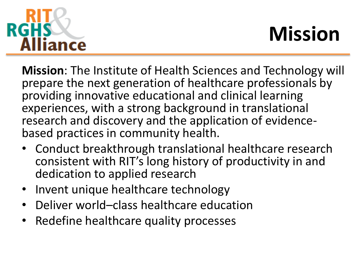

## **Mission**

**Mission**: The Institute of Health Sciences and Technology will prepare the next generation of healthcare professionals by providing innovative educational and clinical learning experiences, with a strong background in translational research and discovery and the application of evidencebased practices in community health.

- Conduct breakthrough translational healthcare research consistent with RIT's long history of productivity in and dedication to applied research
- Invent unique healthcare technology
- Deliver world–class healthcare education
- Redefine healthcare quality processes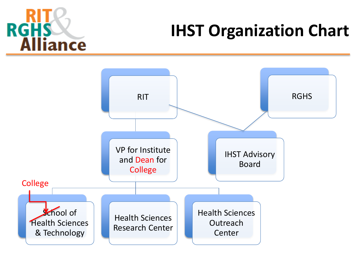

### **IHST Organization Chart**

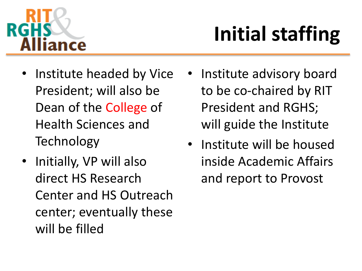

# **Initial staffing**

- Institute headed by Vice President; will also be Dean of the College of Health Sciences and Technology
- Initially, VP will also direct HS Research Center and HS Outreach center; eventually these will be filled
- Institute advisory board to be co-chaired by RIT President and RGHS; will guide the Institute
- Institute will be housed inside Academic Affairs and report to Provost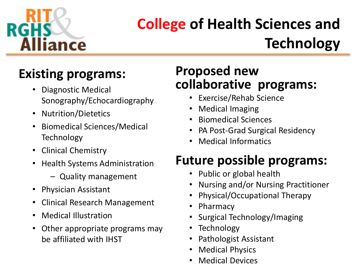

### **College of Health Sciences and Technology**

#### **Existing programs:**

- Diagnostic Medical Sonography/Echocardiography
- Nutrition/Dietetics
- Biomedical Sciences/Medical Technology
- Clinical Chemistry
- Health Systems Administration
	- Quality management
- Physician Assistant
- Clinical Research Management
- Medical Illustration
- Other appropriate programs may be affiliated with IHST

#### **Proposed new collaborative programs:**

- Exercise/Rehab Science
- Medical Imaging
- Biomedical Sciences
- PA Post-Grad Surgical Residency
- Medical Informatics

#### **Future possible programs:**

- Public or global health
- Nursing and/or Nursing Practitioner
- Physical/Occupational Therapy
- Pharmacy
- Surgical Technology/Imaging
- Technology
- Pathologist Assistant
- **Medical Physics**
- Medical Devices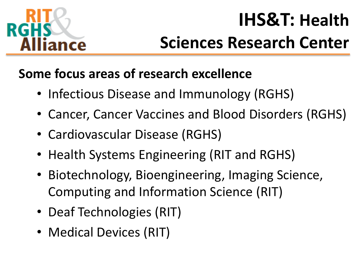

### **IHS&T: Health Sciences Research Center**

#### **Some focus areas of research excellence**

- Infectious Disease and Immunology (RGHS)
- Cancer, Cancer Vaccines and Blood Disorders (RGHS)
- Cardiovascular Disease (RGHS)
- Health Systems Engineering (RIT and RGHS)
- Biotechnology, Bioengineering, Imaging Science, Computing and Information Science (RIT)
- Deaf Technologies (RIT)
- Medical Devices (RIT)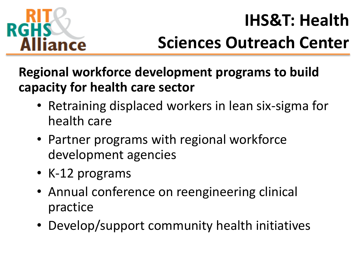

### **IHS&T: Health Sciences Outreach Center**

**Regional workforce development programs to build capacity for health care sector**

- Retraining displaced workers in lean six-sigma for health care
- Partner programs with regional workforce development agencies
- K-12 programs
- Annual conference on reengineering clinical practice
- Develop/support community health initiatives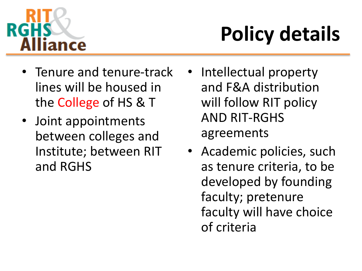

# **Policy details**

- Tenure and tenure-track lines will be housed in the College of HS & T
- Joint appointments between colleges and Institute; between RIT and RGHS
- Intellectual property and F&A distribution will follow RIT policy AND RIT-RGHS agreements
- Academic policies, such as tenure criteria, to be developed by founding faculty; pretenure faculty will have choice of criteria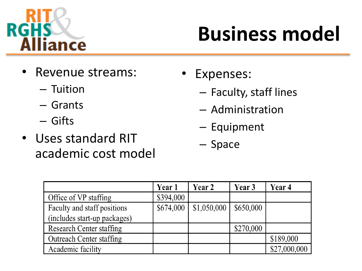

## **Business model**

- Revenue streams:
	- Tuition
	- Grants
	- Gifts
- Uses standard RIT academic cost model
- Expenses:
	- Faculty, staff lines
	- Administration
	- Equipment
	- Space

|                                 | Year 1    | Year 2      | Year 3    | Year 4       |
|---------------------------------|-----------|-------------|-----------|--------------|
| Office of VP staffing           | \$394,000 |             |           |              |
| Faculty and staff positions     | \$674,000 | \$1,050,000 | \$650,000 |              |
| (includes start-up packages)    |           |             |           |              |
| <b>Research Center staffing</b> |           |             | \$270,000 |              |
| <b>Outreach Center staffing</b> |           |             |           | \$189,000    |
| Academic facility               |           |             |           | \$27,000,000 |